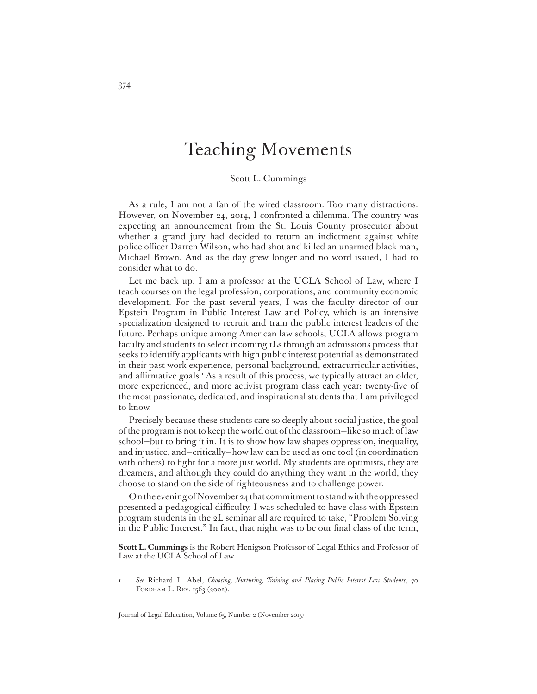## Teaching Movements

Scott L. Cummings

As a rule, I am not a fan of the wired classroom. Too many distractions. However, on November 24, 2014, I confronted a dilemma. The country was expecting an announcement from the St. Louis County prosecutor about whether a grand jury had decided to return an indictment against white police officer Darren Wilson, who had shot and killed an unarmed black man, Michael Brown. And as the day grew longer and no word issued, I had to consider what to do.

Let me back up. I am a professor at the UCLA School of Law, where I teach courses on the legal profession, corporations, and community economic development. For the past several years, I was the faculty director of our Epstein Program in Public Interest Law and Policy, which is an intensive specialization designed to recruit and train the public interest leaders of the future. Perhaps unique among American law schools, UCLA allows program faculty and students to select incoming 1Ls through an admissions process that seeks to identify applicants with high public interest potential as demonstrated in their past work experience, personal background, extracurricular activities, and affirmative goals.<sup>1</sup> As a result of this process, we typically attract an older, more experienced, and more activist program class each year: twenty-five of the most passionate, dedicated, and inspirational students that I am privileged to know.

Precisely because these students care so deeply about social justice, the goal of the program is not to keep the world out of the classroom—like so much of law school—but to bring it in. It is to show how law shapes oppression, inequality, and injustice, and—critically—how law can be used as one tool (in coordination with others) to fight for a more just world. My students are optimists, they are dreamers, and although they could do anything they want in the world, they choose to stand on the side of righteousness and to challenge power.

On the evening of November 24 that commitment to stand with the oppressed presented a pedagogical difficulty. I was scheduled to have class with Epstein program students in the 2L seminar all are required to take, "Problem Solving in the Public Interest." In fact, that night was to be our final class of the term,

**Scott L. Cummings** is the Robert Henigson Professor of Legal Ethics and Professor of Law at the UCLA School of Law.

1. *See* Richard L. Abel, *Choosing, Nurturing, Training and Placing Public Interest Law Students*, 70 FORDHAM L. REV. 1563 (2002).

Journal of Legal Education, Volume 65, Number 2 (November 2015)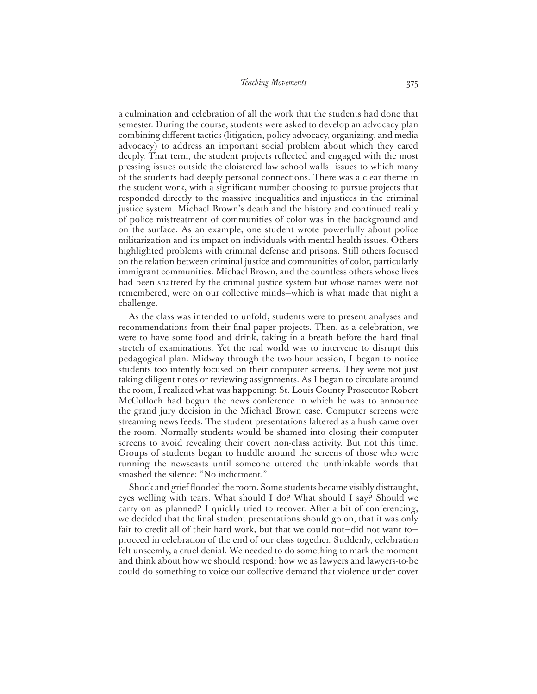a culmination and celebration of all the work that the students had done that semester. During the course, students were asked to develop an advocacy plan combining different tactics (litigation, policy advocacy, organizing, and media advocacy) to address an important social problem about which they cared deeply. That term, the student projects reflected and engaged with the most pressing issues outside the cloistered law school walls—issues to which many of the students had deeply personal connections. There was a clear theme in the student work, with a significant number choosing to pursue projects that responded directly to the massive inequalities and injustices in the criminal justice system. Michael Brown's death and the history and continued reality of police mistreatment of communities of color was in the background and on the surface. As an example, one student wrote powerfully about police militarization and its impact on individuals with mental health issues. Others highlighted problems with criminal defense and prisons. Still others focused on the relation between criminal justice and communities of color, particularly immigrant communities. Michael Brown, and the countless others whose lives had been shattered by the criminal justice system but whose names were not remembered, were on our collective minds—which is what made that night a challenge.

As the class was intended to unfold, students were to present analyses and recommendations from their final paper projects. Then, as a celebration, we were to have some food and drink, taking in a breath before the hard final stretch of examinations. Yet the real world was to intervene to disrupt this pedagogical plan. Midway through the two-hour session, I began to notice students too intently focused on their computer screens. They were not just taking diligent notes or reviewing assignments. As I began to circulate around the room, I realized what was happening: St. Louis County Prosecutor Robert McCulloch had begun the news conference in which he was to announce the grand jury decision in the Michael Brown case. Computer screens were streaming news feeds. The student presentations faltered as a hush came over the room. Normally students would be shamed into closing their computer screens to avoid revealing their covert non-class activity. But not this time. Groups of students began to huddle around the screens of those who were running the newscasts until someone uttered the unthinkable words that smashed the silence: "No indictment."

Shock and grief flooded the room. Some students became visibly distraught, eyes welling with tears. What should I do? What should I say? Should we carry on as planned? I quickly tried to recover. After a bit of conferencing, we decided that the final student presentations should go on, that it was only fair to credit all of their hard work, but that we could not—did not want to proceed in celebration of the end of our class together. Suddenly, celebration felt unseemly, a cruel denial. We needed to do something to mark the moment and think about how we should respond: how we as lawyers and lawyers-to-be could do something to voice our collective demand that violence under cover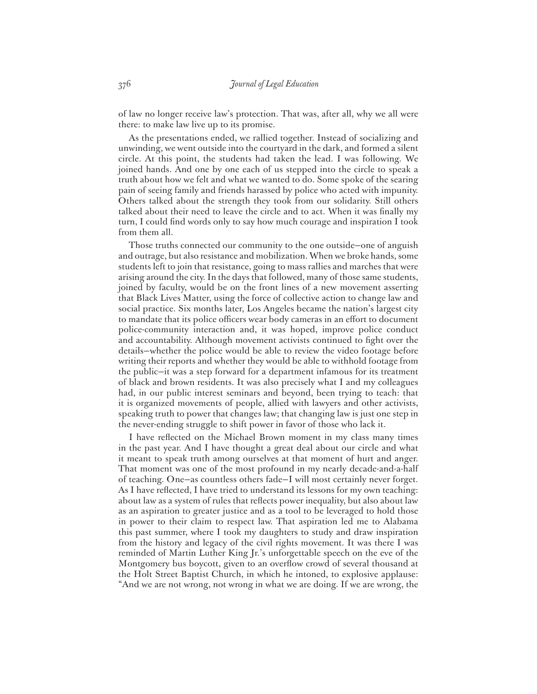of law no longer receive law's protection. That was, after all, why we all were there: to make law live up to its promise.

As the presentations ended, we rallied together. Instead of socializing and unwinding, we went outside into the courtyard in the dark, and formed a silent circle. At this point, the students had taken the lead. I was following. We joined hands. And one by one each of us stepped into the circle to speak a truth about how we felt and what we wanted to do. Some spoke of the searing pain of seeing family and friends harassed by police who acted with impunity. Others talked about the strength they took from our solidarity. Still others talked about their need to leave the circle and to act. When it was finally my turn, I could find words only to say how much courage and inspiration I took from them all.

Those truths connected our community to the one outside—one of anguish and outrage, but also resistance and mobilization. When we broke hands, some students left to join that resistance, going to mass rallies and marches that were arising around the city. In the days that followed, many of those same students, joined by faculty, would be on the front lines of a new movement asserting that Black Lives Matter, using the force of collective action to change law and social practice. Six months later, Los Angeles became the nation's largest city to mandate that its police officers wear body cameras in an effort to document police-community interaction and, it was hoped, improve police conduct and accountability. Although movement activists continued to fight over the details—whether the police would be able to review the video footage before writing their reports and whether they would be able to withhold footage from the public—it was a step forward for a department infamous for its treatment of black and brown residents. It was also precisely what I and my colleagues had, in our public interest seminars and beyond, been trying to teach: that it is organized movements of people, allied with lawyers and other activists, speaking truth to power that changes law; that changing law is just one step in the never-ending struggle to shift power in favor of those who lack it.

I have reflected on the Michael Brown moment in my class many times in the past year. And I have thought a great deal about our circle and what it meant to speak truth among ourselves at that moment of hurt and anger. That moment was one of the most profound in my nearly decade-and-a-half of teaching. One—as countless others fade—I will most certainly never forget. As I have reflected, I have tried to understand its lessons for my own teaching: about law as a system of rules that reflects power inequality, but also about law as an aspiration to greater justice and as a tool to be leveraged to hold those in power to their claim to respect law. That aspiration led me to Alabama this past summer, where I took my daughters to study and draw inspiration from the history and legacy of the civil rights movement. It was there I was reminded of Martin Luther King Jr.'s unforgettable speech on the eve of the Montgomery bus boycott, given to an overflow crowd of several thousand at the Holt Street Baptist Church, in which he intoned, to explosive applause: "And we are not wrong, not wrong in what we are doing. If we are wrong, the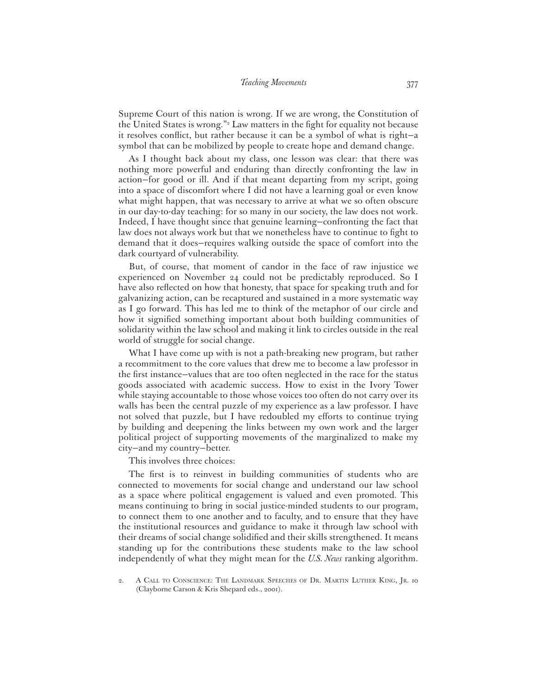## *Teaching Movements* 377

Supreme Court of this nation is wrong. If we are wrong, the Constitution of the United States is wrong."<sup>2</sup> Law matters in the fight for equality not because it resolves conflict, but rather because it can be a symbol of what is right-a symbol that can be mobilized by people to create hope and demand change.

As I thought back about my class, one lesson was clear: that there was nothing more powerful and enduring than directly confronting the law in action—for good or ill. And if that meant departing from my script, going into a space of discomfort where I did not have a learning goal or even know what might happen, that was necessary to arrive at what we so often obscure in our day-to-day teaching: for so many in our society, the law does not work. Indeed, I have thought since that genuine learning—confronting the fact that law does not always work but that we nonetheless have to continue to fight to demand that it does—requires walking outside the space of comfort into the dark courtyard of vulnerability.

But, of course, that moment of candor in the face of raw injustice we experienced on November 24 could not be predictably reproduced. So I have also reflected on how that honesty, that space for speaking truth and for galvanizing action, can be recaptured and sustained in a more systematic way as I go forward. This has led me to think of the metaphor of our circle and how it signified something important about both building communities of solidarity within the law school and making it link to circles outside in the real world of struggle for social change.

What I have come up with is not a path-breaking new program, but rather a recommitment to the core values that drew me to become a law professor in the first instance-values that are too often neglected in the race for the status goods associated with academic success. How to exist in the Ivory Tower while staying accountable to those whose voices too often do not carry over its walls has been the central puzzle of my experience as a law professor. I have not solved that puzzle, but I have redoubled my efforts to continue trying by building and deepening the links between my own work and the larger political project of supporting movements of the marginalized to make my city—and my country—better.

This involves three choices:

The first is to reinvest in building communities of students who are connected to movements for social change and understand our law school as a space where political engagement is valued and even promoted. This means continuing to bring in social justice-minded students to our program, to connect them to one another and to faculty, and to ensure that they have the institutional resources and guidance to make it through law school with their dreams of social change solidified and their skills strengthened. It means standing up for the contributions these students make to the law school independently of what they might mean for the *U.S. News* ranking algorithm.

2. A CALL TO CONSCIENCE: THE LANDMARK SPEECHES OF DR. MARTIN LUTHER KING, JR. 10 (Clayborne Carson & Kris Shepard eds., 2001).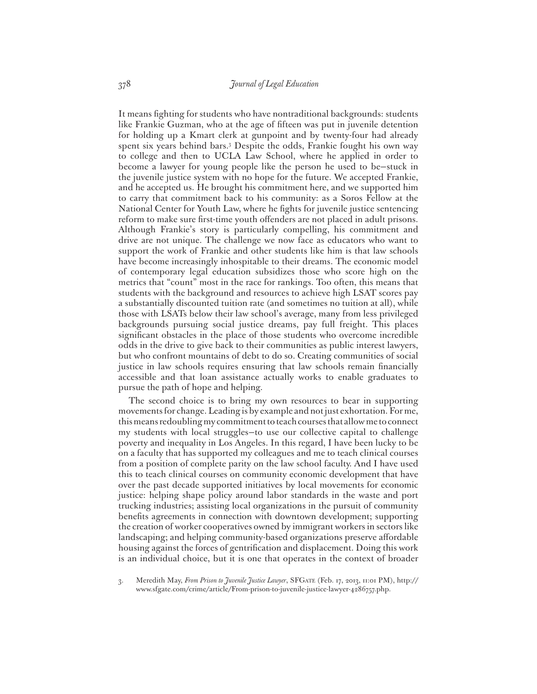It means fighting for students who have nontraditional backgrounds: students like Frankie Guzman, who at the age of fifteen was put in juvenile detention for holding up a Kmart clerk at gunpoint and by twenty-four had already spent six years behind bars.3 Despite the odds, Frankie fought his own way to college and then to UCLA Law School, where he applied in order to become a lawyer for young people like the person he used to be—stuck in the juvenile justice system with no hope for the future. We accepted Frankie, and he accepted us. He brought his commitment here, and we supported him to carry that commitment back to his community: as a Soros Fellow at the National Center for Youth Law, where he fights for juvenile justice sentencing reform to make sure first-time youth offenders are not placed in adult prisons. Although Frankie's story is particularly compelling, his commitment and drive are not unique. The challenge we now face as educators who want to support the work of Frankie and other students like him is that law schools have become increasingly inhospitable to their dreams. The economic model of contemporary legal education subsidizes those who score high on the metrics that "count" most in the race for rankings. Too often, this means that students with the background and resources to achieve high LSAT scores pay a substantially discounted tuition rate (and sometimes no tuition at all), while those with LSATs below their law school's average, many from less privileged backgrounds pursuing social justice dreams, pay full freight. This places significant obstacles in the place of those students who overcome incredible odds in the drive to give back to their communities as public interest lawyers, but who confront mountains of debt to do so. Creating communities of social justice in law schools requires ensuring that law schools remain financially accessible and that loan assistance actually works to enable graduates to pursue the path of hope and helping.

The second choice is to bring my own resources to bear in supporting movements for change. Leading is by example and not just exhortation. For me, this means redoubling my commitment to teach courses that allow me to connect my students with local struggles—to use our collective capital to challenge poverty and inequality in Los Angeles. In this regard, I have been lucky to be on a faculty that has supported my colleagues and me to teach clinical courses from a position of complete parity on the law school faculty. And I have used this to teach clinical courses on community economic development that have over the past decade supported initiatives by local movements for economic justice: helping shape policy around labor standards in the waste and port trucking industries; assisting local organizations in the pursuit of community benefits agreements in connection with downtown development; supporting the creation of worker cooperatives owned by immigrant workers in sectors like landscaping; and helping community-based organizations preserve affordable housing against the forces of gentrification and displacement. Doing this work is an individual choice, but it is one that operates in the context of broader

3. Meredith May, *From Prison to Juvenile Justice Lawyer*, SFGATE (Feb. 17, 2013, 11:01 PM), http:// www.sfgate.com/crime/article/From-prison-to-juvenile-justice-lawyer-4286757.php.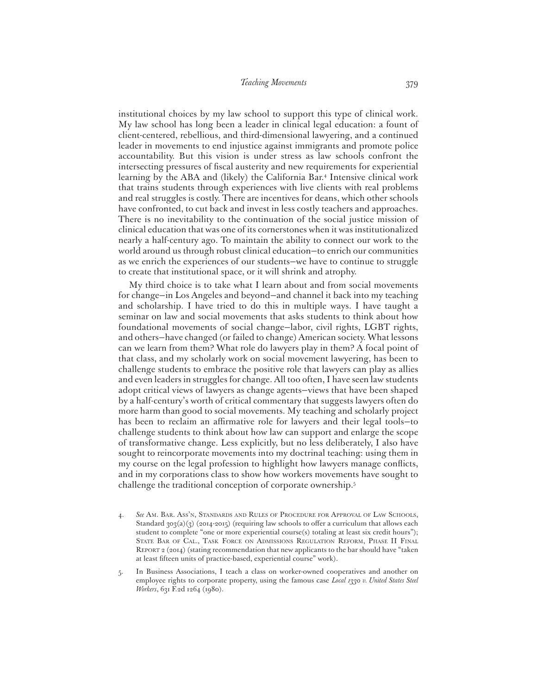institutional choices by my law school to support this type of clinical work. My law school has long been a leader in clinical legal education: a fount of client-centered, rebellious, and third-dimensional lawyering, and a continued leader in movements to end injustice against immigrants and promote police accountability. But this vision is under stress as law schools confront the intersecting pressures of fiscal austerity and new requirements for experiential learning by the ABA and (likely) the California Bar.4 Intensive clinical work that trains students through experiences with live clients with real problems and real struggles is costly. There are incentives for deans, which other schools have confronted, to cut back and invest in less costly teachers and approaches. There is no inevitability to the continuation of the social justice mission of clinical education that was one of its cornerstones when it was institutionalized nearly a half-century ago. To maintain the ability to connect our work to the world around us through robust clinical education—to enrich our communities as we enrich the experiences of our students—we have to continue to struggle to create that institutional space, or it will shrink and atrophy.

My third choice is to take what I learn about and from social movements for change—in Los Angeles and beyond—and channel it back into my teaching and scholarship. I have tried to do this in multiple ways. I have taught a seminar on law and social movements that asks students to think about how foundational movements of social change—labor, civil rights, LGBT rights, and others—have changed (or failed to change) American society. What lessons can we learn from them? What role do lawyers play in them? A focal point of that class, and my scholarly work on social movement lawyering, has been to challenge students to embrace the positive role that lawyers can play as allies and even leaders in struggles for change. All too often, I have seen law students adopt critical views of lawyers as change agents—views that have been shaped by a half-century's worth of critical commentary that suggests lawyers often do more harm than good to social movements. My teaching and scholarly project has been to reclaim an affirmative role for lawyers and their legal tools-to challenge students to think about how law can support and enlarge the scope of transformative change. Less explicitly, but no less deliberately, I also have sought to reincorporate movements into my doctrinal teaching: using them in my course on the legal profession to highlight how lawyers manage conflicts, and in my corporations class to show how workers movements have sought to challenge the traditional conception of corporate ownership.5

- 4. *See* AM. BAR. ASS'N, STANDARDS AND RULES OF PROCEDURE FOR APPROVAL OF LAW SCHOOLS, Standard  $303(a)(3)$  (2014-2015) (requiring law schools to offer a curriculum that allows each student to complete "one or more experiential course(s) totaling at least six credit hours"); STATE BAR OF CAL., TASK FORCE ON ADMISSIONS REGULATION REFORM, PHASE II FINAL REPORT 2 (2014) (stating recommendation that new applicants to the bar should have "taken at least fifteen units of practice-based, experiential course" work).
- 5. In Business Associations, I teach a class on worker-owned cooperatives and another on employee rights to corporate property, using the famous case *Local 1330 v. United States Steel Workers*, 631 F.2d 1264 (1980).